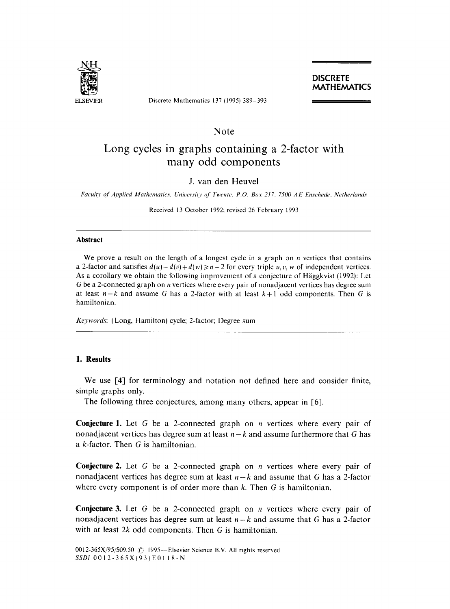

ELSEVIER Discrete Mathematics 137 (1995) 389-393

# **c**<br>**c**<br>**c**<sup>(x)</sup>**x**

## Note

# Long cycles in graphs containing a 2-factor with many odd components

# J. van den Heuvel

*Faculty of Applied Mathematics, University of Twente, P.O. Box 217, 7500 AE Enschede, Netherlands* 

Received 13 October 1992; revised 26 February 1993

#### **Abstract**

We prove a result on the length of a longest cycle in a graph on *n* vertices that contains a 2-factor and satisfies  $d(u)+d(v)+d(w) \ge n+2$  for every triple u, v, w of independent vertices. As a corollary we obtain the following improvement of a conjecture of Häggkvist (1992): Let G be a 2-connected graph on n vertices where every pair of nonadjacent vertices has degree sum at least  $n-k$  and assume G has a 2-factor with at least  $k+1$  odd components. Then G is hamiltonian.

*Keywords: (Long,* Hamilton) cycle; 2-factor; Degree sum

### **1. Results**

We use [4] for terminology and notation not defined here and consider finite, simple graphs only.

The following three conjectures, among many others, appear in [6].

Conjecture 1. Let G be a 2-connected graph on n vertices where every pair of nonadjacent vertices has degree sum at least  $n-k$  and assume furthermore that G has a k-factor. Then G is hamiltonian.

Conjecture 2. Let G be a 2-connected graph on n vertices where every pair of nonadjacent vertices has degree sum at least  $n-k$  and assume that G has a 2-factor where every component is of order more than  $k$ . Then  $G$  is hamiltonian.

**Conjecture 3.** Let G be a 2-connected graph on  $n$  vertices where every pair of nonadjacent vertices has degree sum at least *n-k* and assume that G has a 2-factor with at least  $2k$  odd components. Then G is hamiltonian.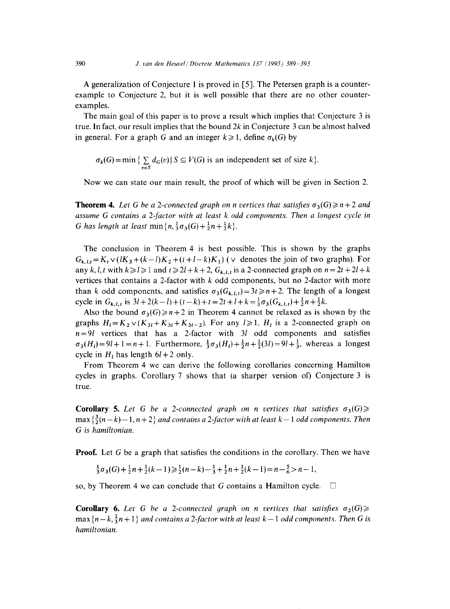A generalization of Conjecture 1 is proved in [5]. The Petersen graph is a counterexample to Conjecture 2, but it is well possible that there are no other counterexamples.

The main goal of this paper is to prove a result which implies that Conjecture 3 is true. In fact, our result implies that the bound  $2k$  in Conjecture 3 can be almost halved in general. For a graph G and an integer  $k \ge 1$ , define  $\sigma_k(G)$  by

 $\sigma_k(G) = \min \{ \sum_{v \in S} d_G(v) | S \subseteq V(G) \text{ is an independent set of size } k \}.$ 

Now we can state our main result, the proof of which will be given in Section 2.

**Theorem 4.** Let G be a 2-connected graph on n vertices that satisfies  $\sigma_3(G) \geq n+2$  and *assume G contains a 2-factor with at least k odd components. Then a longest cycle in G* has length at least min ${n, \frac{1}{3}\sigma_3(G) + \frac{1}{2}n + \frac{1}{2}k}.$ 

The conclusion in Theorem 4 is best possible. This is shown by the graphs  $G_{k,l,t} = K_t \vee (lK_3+(k-l)K_2+(t+l-k)K_1)$  ( $\vee$  denotes the join of two graphs). For any k, l, t with  $k \ge l \ge 1$  and  $t \ge 2l + k + 2$ ,  $G_{k,l,t}$  is a 2-connected graph on  $n = 2t + 2l + k$ vertices that contains a 2-factor with  $k$  odd components, but no 2-factor with more than k odd components, and satisfies  $\sigma_3(G_{k,t,t})=3t\geq n+2$ . The length of a longest cycle in  $G_{k,l,t}$  is  $3l+2(k-l)+(t-k)+t=2t+l+k=\frac{1}{3}\sigma_3(G_{k,l,t})+\frac{1}{2}n+\frac{1}{2}k$ .

Also the bound  $\sigma_3(G) \ge n+2$  in Theorem 4 cannot be relaxed as is shown by the graphs  $H_1 = K_2 \vee (K_{31} + K_{31} + K_{31-2})$ . For any  $l \ge 1$ ,  $H_1$  is a 2-connected graph on *n=91* vertices that has a 2-factor with 31 odd components and satisfies  $\sigma_3(H_l)=9l+1=n+1$ . Furthermore,  $\frac{1}{3}\sigma_3(H_l)+\frac{1}{2}n+\frac{1}{2}(3l)=9l+\frac{1}{3}$ , whereas a longest cycle in  $H<sub>t</sub>$  has length  $6l + 2$  only.

From Theorem 4 we can derive the following corollaries concerning Hamilton cycles in graphs. Corollary 7 shows that (a sharper version of) Conjecture 3 is true.

**Corollary 5.** Let G be a 2-connected graph on n vertices that satisfies  $\sigma_3(G) \geq$  $\max\{\frac{3}{2}(n-k)-1, n+2\}$  *and contains a 2-factor with at least k – 1 odd components. Then G is hamiltonian.* 

**Proof.** Let G be a graph that satisfies the conditions in the corollary. Then we have

$$
\frac{1}{3}\sigma_3(G) + \frac{1}{2}n + \frac{1}{2}(k-1) \ge \frac{1}{2}(n-k) - \frac{1}{3} + \frac{1}{2}n + \frac{1}{2}(k-1) = n - \frac{5}{6} > n-1,
$$

so, by Theorem 4 we can conclude that G contains a Hamilton cycle.  $\Box$ 

**Corollary 6.** Let G be a 2-connected graph on n vertices that satisfies  $\sigma_2(G) \geq$  $\max\{n-k,\frac{2}{3}n+1\}$  *and contains a 2-factor with at least k-1 odd components. Then G is hamiltonian.*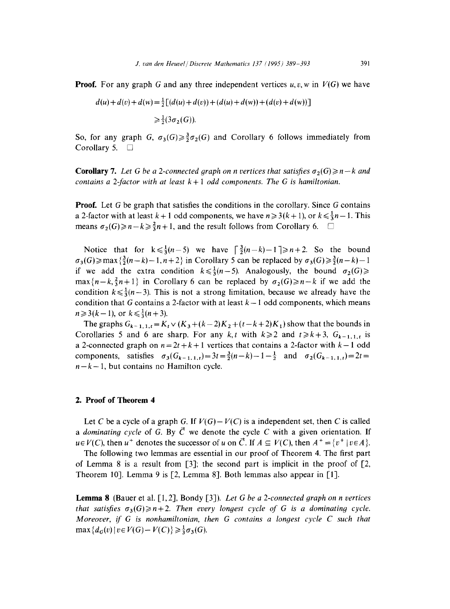**Proof.** For any graph G and any three independent vertices  $u, v, w$  in  $V(G)$  we have

$$
d(u) + d(v) + d(w) = \frac{1}{2} [(d(u) + d(v)) + (d(u) + d(w)) + (d(v) + d(w))]
$$
  
\n
$$
\geq \frac{1}{2} (3\sigma_2(G)).
$$

So, for any graph G,  $\sigma_3(G) \geq \frac{3}{2}\sigma_2(G)$  and Corollary 6 follows immediately from Corollary 5.  $\Box$ 

**Corollary 7.** Let G be a 2-connected graph on n vertices that satisfies  $\sigma_2(G) \geq n - k$  and *contains a 2-factor with at least k + 1 odd components. The G is hamiltonian.* 

**Proof.** Let G be graph that satisfies the conditions in the corollary. Since G contains a 2-factor with at least  $k + 1$  odd components, we have  $n \ge 3(k + 1)$ , or  $k \le \frac{1}{3}n - 1$ . This means  $\sigma_2(G) \geq n-k \geq \frac{2}{3}n+1$ , and the result follows from Corollary 6.  $\square$ 

Notice that for  $k \leq \frac{1}{3}(n-5)$  we have  $\lceil \frac{3}{2}(n-k)-1 \rceil \geq n+2$ . So the bound  $\sigma_3(G) \ge \max\{\frac{3}{2}(n-k)-1, n+2\}$  in Corollary 5 can be replaced by  $\sigma_3(G) \ge \frac{3}{2}(n-k) - 1$ if we add the extra condition  $k \leq \frac{1}{3}(n-5)$ . Analogously, the bound  $\sigma_2(G) \geq$  $max\{n-k,\frac{2}{3}n+1\}$  in Corollary 6 can be replaced by  $\sigma_2(G)\geq n-k$  if we add the condition  $k \leq \frac{1}{3}(n-3)$ . This is not a strong limitation, because we already have the condition that G contains a 2-factor with at least  $k-1$  odd components, which means  $n \geq 3(k-1)$ , or  $k \leq \frac{1}{3}(n+3)$ .

The graphs  $G_{k-1,1,t} = K_t \vee (K_3 + (k-2)K_2 + (t-k+2)K_1)$  show that the bounds in Corollaries 5 and 6 are sharp. For any  $k, t$  with  $k \ge 2$  and  $t \ge k+3$ ,  $G_{k-1,1,t}$  is a 2-connected graph on  $n = 2t + k + 1$  vertices that contains a 2-factor with  $k - 1$  odd components, satisfies  $\sigma_3(G_{k-1,1,t})=3t=\frac{3}{2}(n-k)-1-\frac{1}{2}$  and  $\sigma_2(G_{k-1,1,t})=2t=$  $n-k-1$ , but contains no Hamilton cycle.

#### **2. Proof of Theorem 4**

Let C be a cycle of a graph G. If  $V(G) - V(C)$  is a independent set, then C is called *a dominating cycle of G. By*  $\vec{C}$  *we denote the cycle C with a given orientation.* If  $u \in V(C)$ , then  $u^+$  denotes the successor of u on  $\vec{C}$ . If  $A \subseteq V(C)$ , then  $A^+ = \{v^+ \mid v \in A\}$ .

The following two lemmas are essential in our proof of Theorem 4. The first part of Lemma 8 is a result from [3]; the second part is implicit in the proof of [2, Theorem 10]. Lemma 9 is [2, Lemma 8]. Both lemmas also appear in [1].

**Lemma 8** (Bauer et al. [1, 2], Bondy [3]). *Let G be a 2-connected graph on n vertices that satisfies*  $\sigma_3(G) \geq n+2$ . *Then every longest cycle of G is a dominating cycle. Moreover, if G is nonhamiltonian, then G contains a longest cycle C such that*  $\max\{d_G(v) | v \in V(G) - V(C)\} \geq \frac{1}{3}\sigma_3(G).$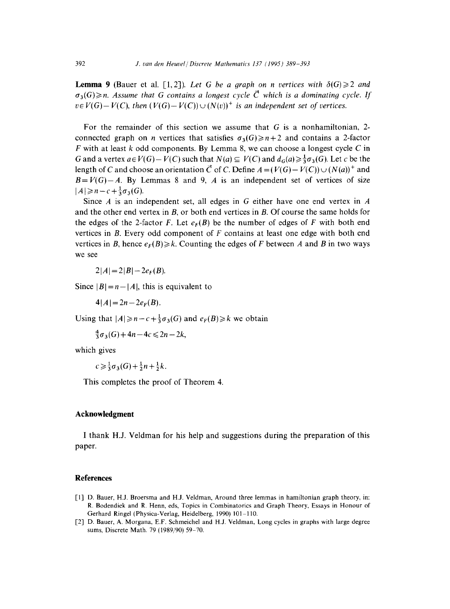**Lemma 9** (Bauer et al. [1,2]). Let G be a graph on n vertices with  $\delta(G) \geq 2$  and  $\sigma_3(G) \geq n$ . Assume that G contains a longest cycle  $\vec{C}$  which is a dominating cycle. If  $v \in V(G) - V(C)$ , then  $(V(G) - V(C)) \cup (N(v))^{+}$  *is an independent set of vertices.* 

For the remainder of this section we assume that  $G$  is a nonhamiltonian, 2connected graph on *n* vertices that satisfies  $\sigma_3(G) \geq n+2$  and contains a 2-factor  $F$  with at least k odd components. By Lemma 8, we can choose a longest cycle  $C$  in G and a vertex  $a \in V(G) - V(C)$  such that  $N(a) \subseteq V(C)$  and  $d_G(a) \geq \frac{1}{2}\sigma_3(G)$ . Let c be the length of C and choose an orientation  $\vec{C}$  of C. Define  $A = (V(G) - V(C)) \cup (N(a))^+$  and  $B=V(G)-A$ . By Lemmas 8 and 9, A is an independent set of vertices of size  $|A|\geqslant n-c+\frac{1}{2}\sigma_3(G)$ .

Since A is an independent set, all edges in G either have one end vertex in A and the other end vertex in  $B$ , or both end vertices in  $B$ . Of course the same holds for the edges of the 2-factor F. Let  $e_F(B)$  be the number of edges of F with both end vertices in  $\mathbf{B}$ . Every odd component of  $\mathbf{F}$  contains at least one edge with both end vertices in B, hence  $e_F(B) \ge k$ . Counting the edges of F between A and B in two ways we see

 $2|A| = 2|B| - 2e_F(B).$ 

Since  $|B| = n - |A|$ , this is equivalent to

 $4|A| = 2n - 2e_F(B)$ .

Using that  $|A| \geq n-c+\frac{1}{3}\sigma_3(G)$  and  $e_F(B) \geq k$  we obtain

 $\frac{4}{3}\sigma_3(G) + 4n - 4c \leq 2n - 2k$ ,

which gives

 $c \geq \frac{1}{3}\sigma_3(G) + \frac{1}{2}n + \frac{1}{2}k$ .

This completes the proof of Theorem 4.

#### **Acknowledgment**

I thank H.J. Veldman for his help and suggestions during the preparation of this paper.

#### **References**

- [1] D. Bauer, H.J. Broersma and H.J. Veldman, Around three lemmas in hamiltonian graph theory, in: R. Bodendiek and R. Henn, eds, Topics in Combinatorics and Graph Theory, Essays in Honour of Gerhard Ringel (Physica-Verlag, Heidelberg, 1990) 101-110.
- [2] D. Bauer, A. Morgana, E.F. Schmeichel and H.J. Veldman, Long cycles in graphs with large degree sums, Discrete Math. 79 (1989/90) 59-70.